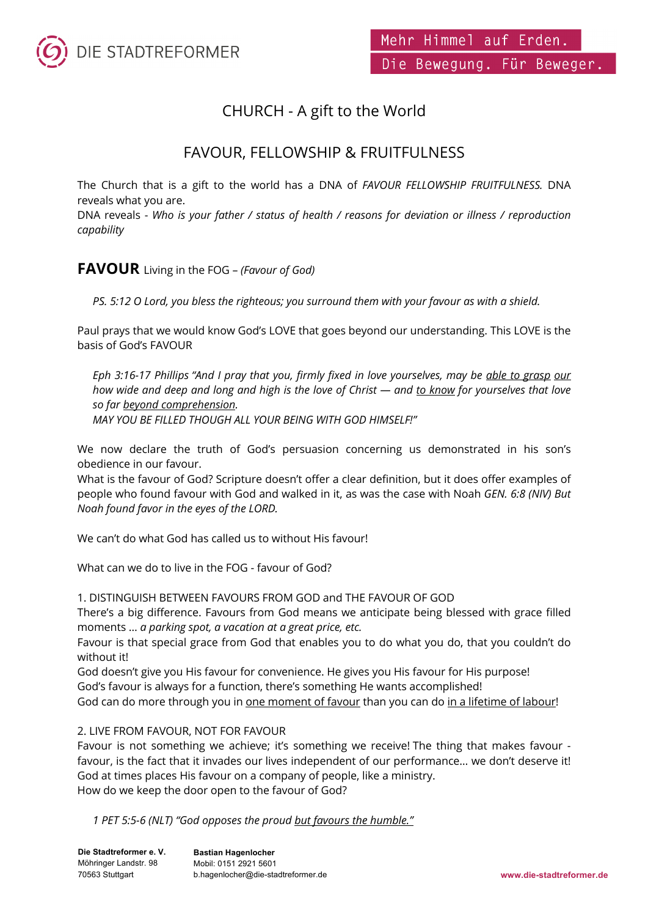

# CHURCH - A gift to the World

# FAVOUR, FELLOWSHIP & FRUITFULNESS

The Church that is a gift to the world has a DNA of *FAVOUR FELLOWSHIP FRUITFULNESS.* DNA reveals what you are.

DNA reveals - *Who is your father / status of health / reasons for deviation or illness / reproduction capability* 

### **FAVOUR** Living in the FOG – *(Favour of God)*

*PS. 5:12 O Lord, you bless the righteous; you surround them with your favour as with a shield.*

Paul prays that we would know God's LOVE that goes beyond our understanding. This LOVE is the basis of God's FAVOUR

*Eph 3:16-17 Phillips "And I pray that you, firmly fixed in love yourselves, may be able to grasp our how wide and deep and long and high is the love of Christ — and to know for yourselves that love so far beyond comprehension.* 

*MAY YOU BE FILLED THOUGH ALL YOUR BEING WITH GOD HIMSELF!"* 

We now declare the truth of God's persuasion concerning us demonstrated in his son's obedience in our favour.

What is the favour of God? Scripture doesn't offer a clear definition, but it does offer examples of people who found favour with God and walked in it, as was the case with Noah *GEN. 6:8 (NIV) But Noah found favor in the eyes of the LORD.*

We can't do what God has called us to without His favour!

What can we do to live in the FOG - favour of God?

1. DISTINGUISH BETWEEN FAVOURS FROM GOD and THE FAVOUR OF GOD

There's a big difference. Favours from God means we anticipate being blessed with grace filled moments … *a parking spot, a vacation at a great price, etc.*

Favour is that special grace from God that enables you to do what you do, that you couldn't do without it!

God doesn't give you His favour for convenience. He gives you His favour for His purpose! God's favour is always for a function, there's something He wants accomplished!

God can do more through you in one moment of favour than you can do in a lifetime of labour!

#### 2. LIVE FROM FAVOUR, NOT FOR FAVOUR

Favour is not something we achieve; it's something we receive! The thing that makes favour favour, is the fact that it invades our lives independent of our performance… we don't deserve it! God at times places His favour on a company of people, like a ministry. How do we keep the door open to the favour of God?

*1 PET 5:5-6 (NLT) "God opposes the proud but favours the humble."*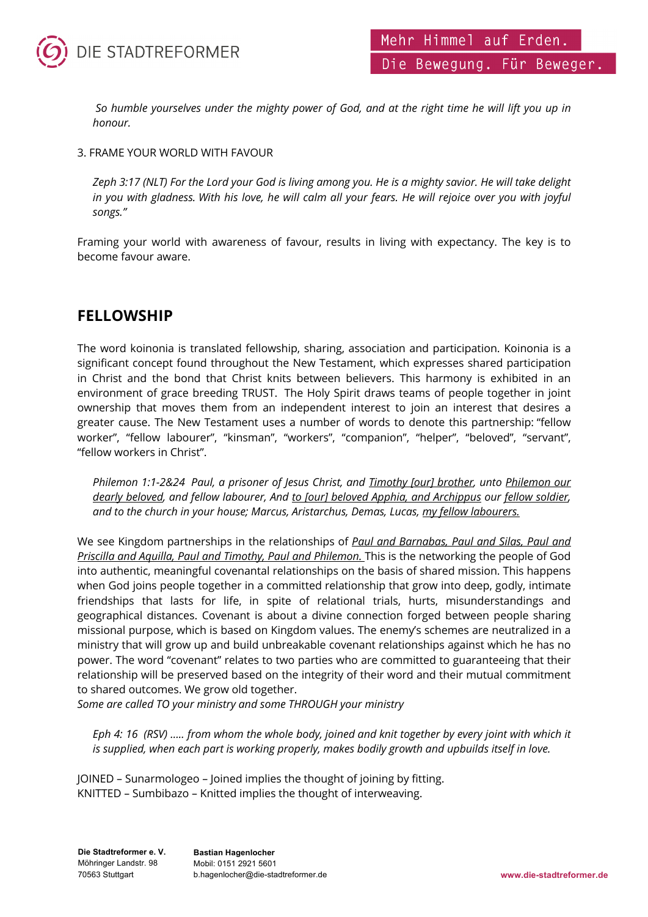

*So humble yourselves under the mighty power of God, and at the right time he will lift you up in honour.*

#### 3. FRAME YOUR WORLD WITH FAVOUR

*Zeph 3:17 (NLT) For the Lord your God is living among you. He is a mighty savior. He will take delight in you with gladness. With his love, he will calm all your fears. He will rejoice over you with joyful songs."*

Framing your world with awareness of favour, results in living with expectancy. The key is to become favour aware.

## **FELLOWSHIP**

The word koinonia is translated fellowship, sharing, association and participation. Koinonia is a significant concept found throughout the New Testament, which expresses shared participation in Christ and the bond that Christ knits between believers. This harmony is exhibited in an environment of grace breeding TRUST. The Holy Spirit draws teams of people together in joint ownership that moves them from an independent interest to join an interest that desires a greater cause. The New Testament uses a number of words to denote this partnership: "fellow worker", "fellow labourer", "kinsman", "workers", "companion", "helper", "beloved", "servant", "fellow workers in Christ".

*Philemon 1:1-2&24 Paul, a prisoner of Jesus Christ, and Timothy [our] brother, unto Philemon our dearly beloved, and fellow labourer, And to [our] beloved Apphia, and Archippus our fellow soldier, and to the church in your house; Marcus, Aristarchus, Demas, Lucas, my fellow labourers.*

We see Kingdom partnerships in the relationships of *Paul and Barnabas, Paul and Silas, Paul and Priscilla and Aquilla, Paul and Timothy, Paul and Philemon.* This is the networking the people of God into authentic, meaningful covenantal relationships on the basis of shared mission. This happens when God joins people together in a committed relationship that grow into deep, godly, intimate friendships that lasts for life, in spite of relational trials, hurts, misunderstandings and geographical distances. Covenant is about a divine connection forged between people sharing missional purpose, which is based on Kingdom values. The enemy's schemes are neutralized in a ministry that will grow up and build unbreakable covenant relationships against which he has no power. The word "covenant" relates to two parties who are committed to guaranteeing that their relationship will be preserved based on the integrity of their word and their mutual commitment to shared outcomes. We grow old together.

*Some are called TO your ministry and some THROUGH your ministry*

*Eph 4: 16 (RSV) ….. from whom the whole body, joined and knit together by every joint with which it is supplied, when each part is working properly, makes bodily growth and upbuilds itself in love.*

JOINED – Sunarmologeo – Joined implies the thought of joining by fitting. KNITTED – Sumbibazo – Knitted implies the thought of interweaving.

**Die Stadtreformer e. V.** Möhringer Landstr. 98 70563 Stuttgart

**Bastian Hagenlocher** Mobil: 0151 2921 5601 b.hagenlocher@die-stadtreformer.de **www.die-stadtreformer.de**